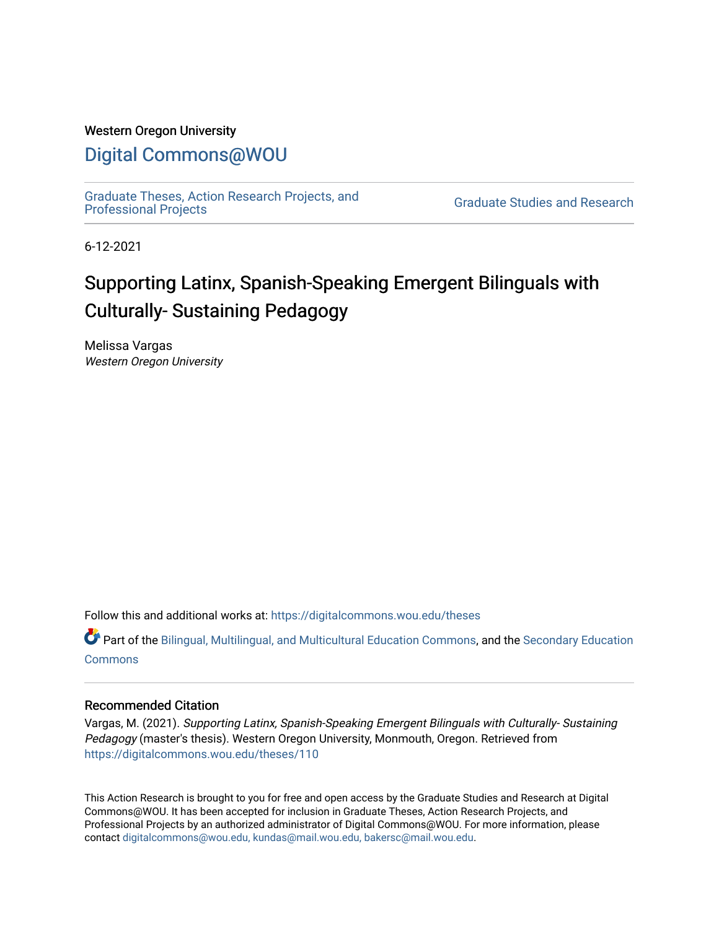#### Western Oregon University

# [Digital Commons@WOU](https://digitalcommons.wou.edu/)

[Graduate Theses, Action Research Projects, and](https://digitalcommons.wou.edu/theses) 

**Graduate Studies and Research** 

6-12-2021

# Supporting Latinx, Spanish-Speaking Emergent Bilinguals with Culturally- Sustaining Pedagogy

Melissa Vargas Western Oregon University

Follow this and additional works at: [https://digitalcommons.wou.edu/theses](https://digitalcommons.wou.edu/theses?utm_source=digitalcommons.wou.edu%2Ftheses%2F110&utm_medium=PDF&utm_campaign=PDFCoverPages) 

Part of the [Bilingual, Multilingual, and Multicultural Education Commons,](https://network.bepress.com/hgg/discipline/785?utm_source=digitalcommons.wou.edu%2Ftheses%2F110&utm_medium=PDF&utm_campaign=PDFCoverPages) and the [Secondary Education](https://network.bepress.com/hgg/discipline/1382?utm_source=digitalcommons.wou.edu%2Ftheses%2F110&utm_medium=PDF&utm_campaign=PDFCoverPages)  **[Commons](https://network.bepress.com/hgg/discipline/1382?utm_source=digitalcommons.wou.edu%2Ftheses%2F110&utm_medium=PDF&utm_campaign=PDFCoverPages)** 

#### Recommended Citation

Vargas, M. (2021). Supporting Latinx, Spanish-Speaking Emergent Bilinguals with Culturally- Sustaining Pedagogy (master's thesis). Western Oregon University, Monmouth, Oregon. Retrieved from [https://digitalcommons.wou.edu/theses/110](https://digitalcommons.wou.edu/theses/110?utm_source=digitalcommons.wou.edu%2Ftheses%2F110&utm_medium=PDF&utm_campaign=PDFCoverPages) 

This Action Research is brought to you for free and open access by the Graduate Studies and Research at Digital Commons@WOU. It has been accepted for inclusion in Graduate Theses, Action Research Projects, and Professional Projects by an authorized administrator of Digital Commons@WOU. For more information, please contact [digitalcommons@wou.edu, kundas@mail.wou.edu, bakersc@mail.wou.edu](mailto:digitalcommons@wou.edu,%20kundas@mail.wou.edu,%20bakersc@mail.wou.edu).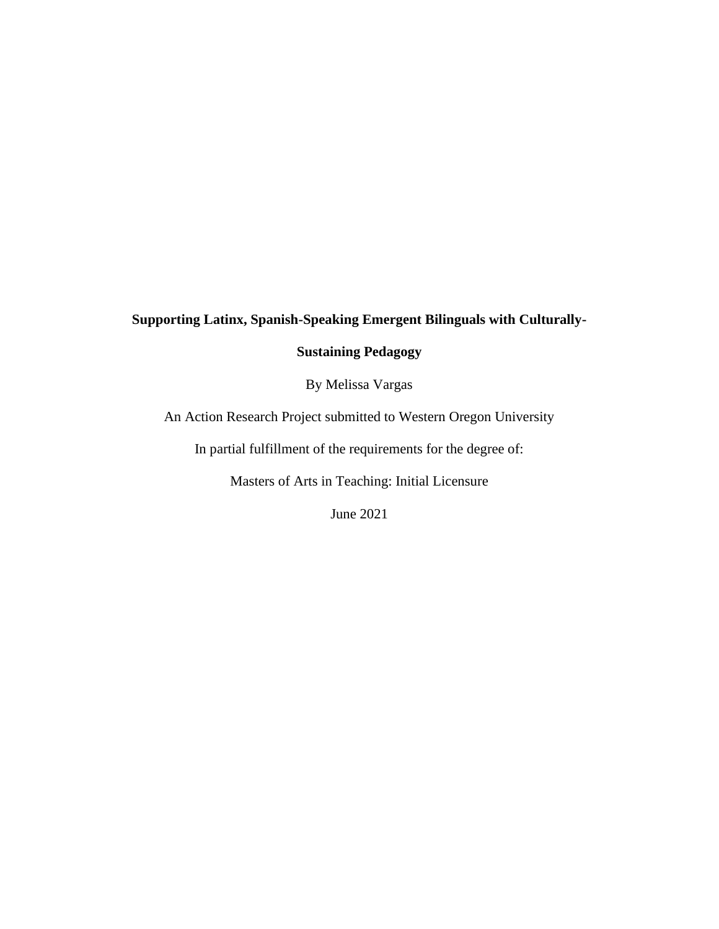# **Supporting Latinx, Spanish-Speaking Emergent Bilinguals with Culturally-**

## **Sustaining Pedagogy**

By Melissa Vargas

An Action Research Project submitted to Western Oregon University

In partial fulfillment of the requirements for the degree of:

Masters of Arts in Teaching: Initial Licensure

June 2021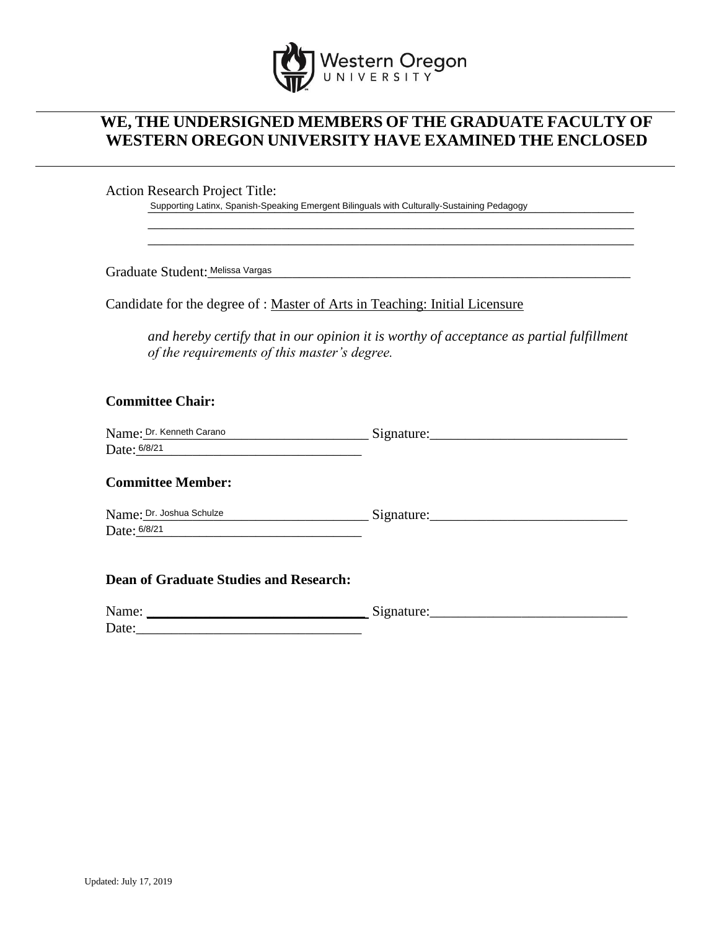

# **WE, THE UNDERSIGNED MEMBERS OF THE GRADUATE FACULTY OF WESTERN OREGON UNIVERSITY HAVE EXAMINED THE ENCLOSED**

Action Research Project Title:

Supporting Latinx, Spanish-Speaking Emergent Bilinguals with Culturally-Sustaining Pedagogy

Graduate Student:\_\_\_\_\_\_\_\_\_\_\_\_\_\_\_\_\_\_\_\_\_\_\_\_\_\_\_\_\_\_\_\_\_\_\_\_\_\_\_\_\_\_\_\_\_\_\_\_\_\_\_\_\_\_\_\_\_\_\_\_ Melissa Vargas

Candidate for the degree of : Master of Arts in Teaching: Initial Licensure

*and hereby certify that in our opinion it is worthy of acceptance as partial fulfillment of the requirements of this master's degree.*

\_\_\_\_\_\_\_\_\_\_\_\_\_\_\_\_\_\_\_\_\_\_\_\_\_\_\_\_\_\_\_\_\_\_\_\_\_\_\_\_\_\_\_\_\_\_\_\_\_\_\_\_\_\_\_\_\_\_\_\_\_\_\_\_\_\_\_\_\_ \_\_\_\_\_\_\_\_\_\_\_\_\_\_\_\_\_\_\_\_\_\_\_\_\_\_\_\_\_\_\_\_\_\_\_\_\_\_\_\_\_\_\_\_\_\_\_\_\_\_\_\_\_\_\_\_\_\_\_\_\_\_\_\_\_\_\_\_\_

### **Committee Chair:**

| Name: Dr. Kenneth Carano | Signature. |
|--------------------------|------------|
| Date: 6/8/21             |            |

#### **Committee Member:**

| Name: Dr. Joshua Schulze | Signature: |
|--------------------------|------------|
| Date: 6/8/21             |            |

#### **Dean of Graduate Studies and Research:**

| Name: | $\tilde{\phantom{a}}$<br>$\sim$ |
|-------|---------------------------------|
| Date: |                                 |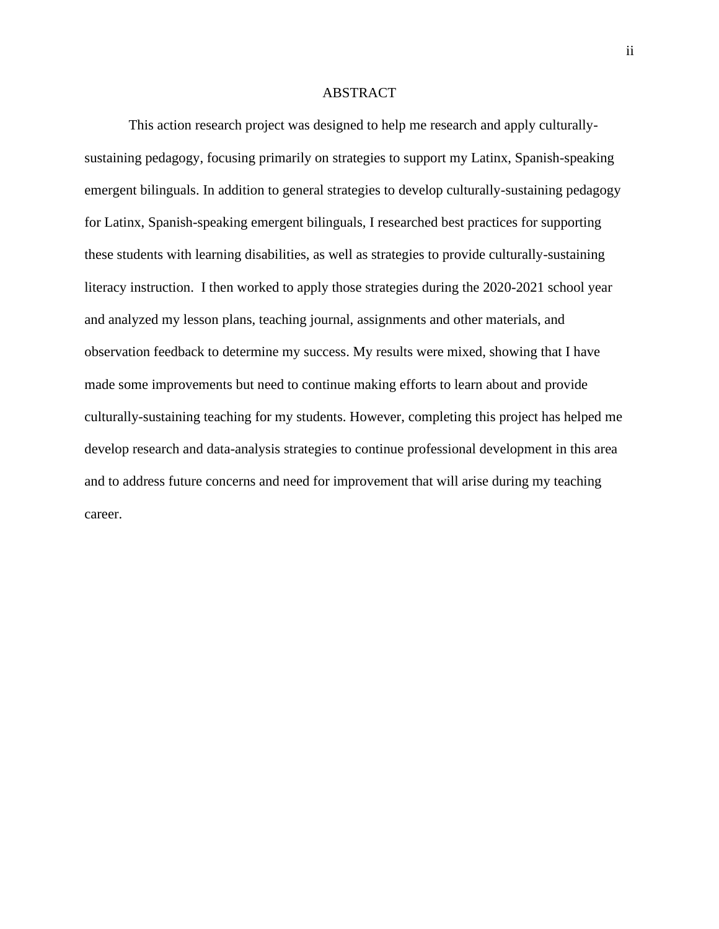#### ABSTRACT

This action research project was designed to help me research and apply culturallysustaining pedagogy, focusing primarily on strategies to support my Latinx, Spanish-speaking emergent bilinguals. In addition to general strategies to develop culturally-sustaining pedagogy for Latinx, Spanish-speaking emergent bilinguals, I researched best practices for supporting these students with learning disabilities, as well as strategies to provide culturally-sustaining literacy instruction. I then worked to apply those strategies during the 2020-2021 school year and analyzed my lesson plans, teaching journal, assignments and other materials, and observation feedback to determine my success. My results were mixed, showing that I have made some improvements but need to continue making efforts to learn about and provide culturally-sustaining teaching for my students. However, completing this project has helped me develop research and data-analysis strategies to continue professional development in this area and to address future concerns and need for improvement that will arise during my teaching career.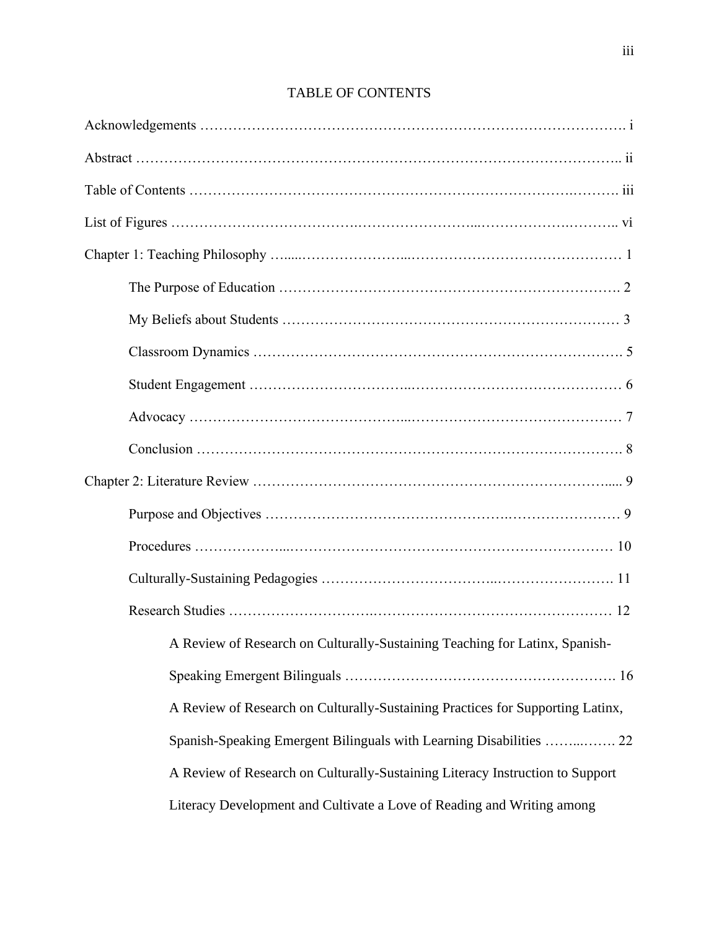| A Review of Research on Culturally-Sustaining Teaching for Latinx, Spanish-    |
|--------------------------------------------------------------------------------|
|                                                                                |
| A Review of Research on Culturally-Sustaining Practices for Supporting Latinx, |
| Spanish-Speaking Emergent Bilinguals with Learning Disabilities  22            |
| A Review of Research on Culturally-Sustaining Literacy Instruction to Support  |
| Literacy Development and Cultivate a Love of Reading and Writing among         |

TABLE OF CONTENTS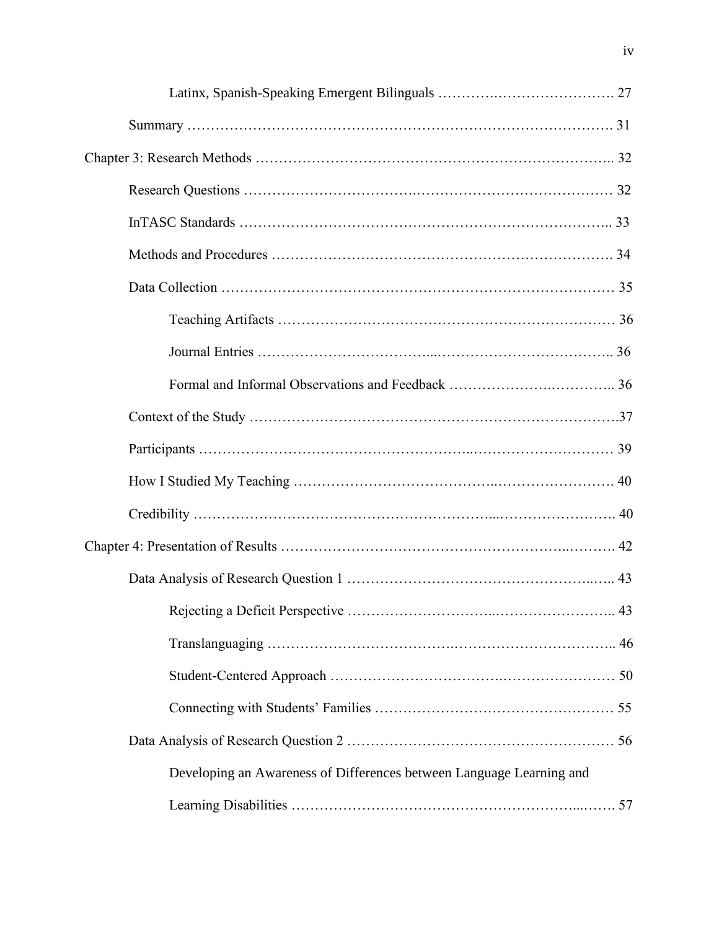| Developing an Awareness of Differences between Language Learning and |  |
|----------------------------------------------------------------------|--|
|                                                                      |  |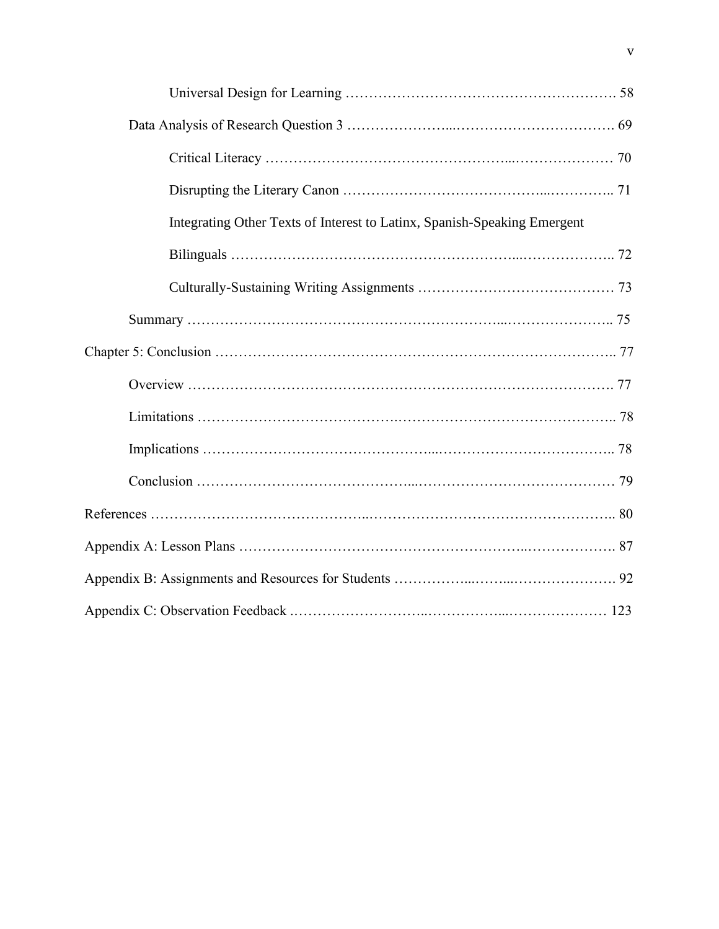| Integrating Other Texts of Interest to Latinx, Spanish-Speaking Emergent |
|--------------------------------------------------------------------------|
|                                                                          |
|                                                                          |
|                                                                          |
|                                                                          |
|                                                                          |
|                                                                          |
|                                                                          |
|                                                                          |
|                                                                          |
|                                                                          |
|                                                                          |
|                                                                          |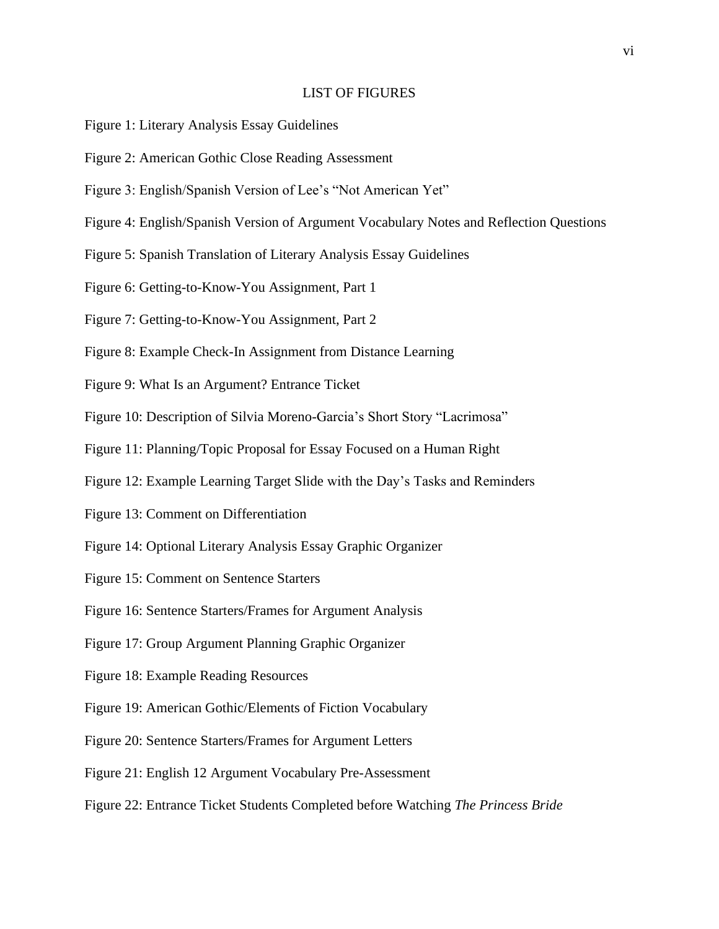#### LIST OF FIGURES

- Figure 1: Literary Analysis Essay Guidelines
- Figure 2: American Gothic Close Reading Assessment
- Figure 3: English/Spanish Version of Lee's "Not American Yet"
- Figure 4: English/Spanish Version of Argument Vocabulary Notes and Reflection Questions
- Figure 5: Spanish Translation of Literary Analysis Essay Guidelines
- Figure 6: Getting-to-Know-You Assignment, Part 1
- Figure 7: Getting-to-Know-You Assignment, Part 2
- Figure 8: Example Check-In Assignment from Distance Learning
- Figure 9: What Is an Argument? Entrance Ticket
- Figure 10: Description of Silvia Moreno-Garcia's Short Story "Lacrimosa"
- Figure 11: Planning/Topic Proposal for Essay Focused on a Human Right
- Figure 12: Example Learning Target Slide with the Day's Tasks and Reminders
- Figure 13: Comment on Differentiation
- Figure 14: Optional Literary Analysis Essay Graphic Organizer
- Figure 15: Comment on Sentence Starters
- Figure 16: Sentence Starters/Frames for Argument Analysis
- Figure 17: Group Argument Planning Graphic Organizer
- Figure 18: Example Reading Resources
- Figure 19: American Gothic/Elements of Fiction Vocabulary
- Figure 20: Sentence Starters/Frames for Argument Letters
- Figure 21: English 12 Argument Vocabulary Pre-Assessment
- Figure 22: Entrance Ticket Students Completed before Watching *The Princess Bride*